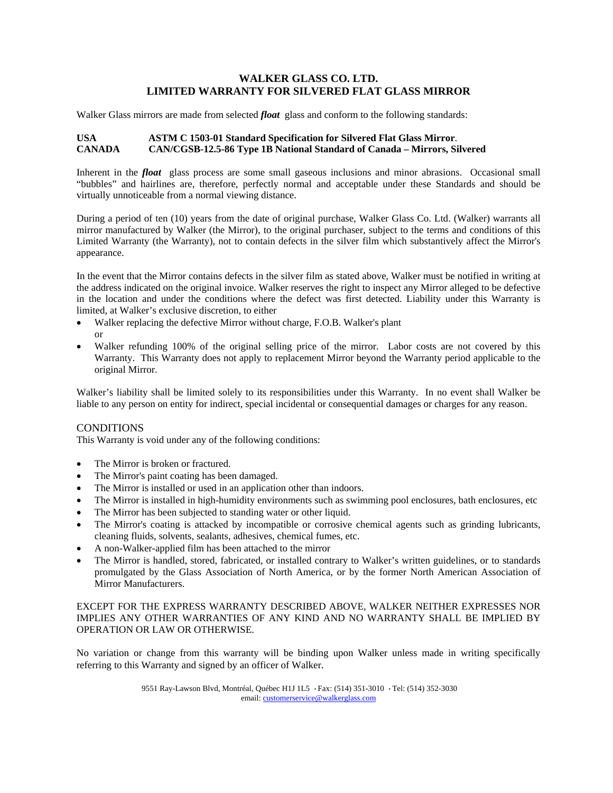## **WALKER GLASS CO. LTD. LIMITED WARRANTY FOR SILVERED FLAT GLASS MIRROR**

Walker Glass mirrors are made from selected *float* glass and conform to the following standards:

## **USA ASTM C 1503-01 Standard Specification for Silvered Flat Glass Mirror**. **CANADA CAN/CGSB-12.5-86 Type 1B National Standard of Canada – Mirrors, Silvered**

Inherent in the *float* glass process are some small gaseous inclusions and minor abrasions. Occasional small "bubbles" and hairlines are, therefore, perfectly normal and acceptable under these Standards and should be virtually unnoticeable from a normal viewing distance.

During a period of ten (10) years from the date of original purchase, Walker Glass Co. Ltd. (Walker) warrants all mirror manufactured by Walker (the Mirror), to the original purchaser, subject to the terms and conditions of this Limited Warranty (the Warranty), not to contain defects in the silver film which substantively affect the Mirror's appearance.

In the event that the Mirror contains defects in the silver film as stated above, Walker must be notified in writing at the address indicated on the original invoice. Walker reserves the right to inspect any Mirror alleged to be defective in the location and under the conditions where the defect was first detected. Liability under this Warranty is limited, at Walker's exclusive discretion, to either

- Walker replacing the defective Mirror without charge, F.O.B. Walker's plant or
- Walker refunding 100% of the original selling price of the mirror. Labor costs are not covered by this Warranty. This Warranty does not apply to replacement Mirror beyond the Warranty period applicable to the original Mirror.

Walker's liability shall be limited solely to its responsibilities under this Warranty. In no event shall Walker be liable to any person on entity for indirect, special incidental or consequential damages or charges for any reason.

# **CONDITIONS**

This Warranty is void under any of the following conditions:

- The Mirror is broken or fractured.
- The Mirror's paint coating has been damaged.
- The Mirror is installed or used in an application other than indoors.
- The Mirror is installed in high-humidity environments such as swimming pool enclosures, bath enclosures, etc
- The Mirror has been subjected to standing water or other liquid.
- The Mirror's coating is attacked by incompatible or corrosive chemical agents such as grinding lubricants, cleaning fluids, solvents, sealants, adhesives, chemical fumes, etc.
- A non-Walker-applied film has been attached to the mirror
- The Mirror is handled, stored, fabricated, or installed contrary to Walker's written guidelines, or to standards promulgated by the Glass Association of North America, or by the former North American Association of Mirror Manufacturers.

#### EXCEPT FOR THE EXPRESS WARRANTY DESCRIBED ABOVE, WALKER NEITHER EXPRESSES NOR IMPLIES ANY OTHER WARRANTIES OF ANY KIND AND NO WARRANTY SHALL BE IMPLIED BY OPERATION OR LAW OR OTHERWISE.

No variation or change from this warranty will be binding upon Walker unless made in writing specifically referring to this Warranty and signed by an officer of Walker.

> 9551 Ray-Lawson Blvd, Montréal, Québec H1J 1L5 • Fax: (514) 351-3010 • Tel: (514) 352-3030 email: customerservice@walkerglass.com